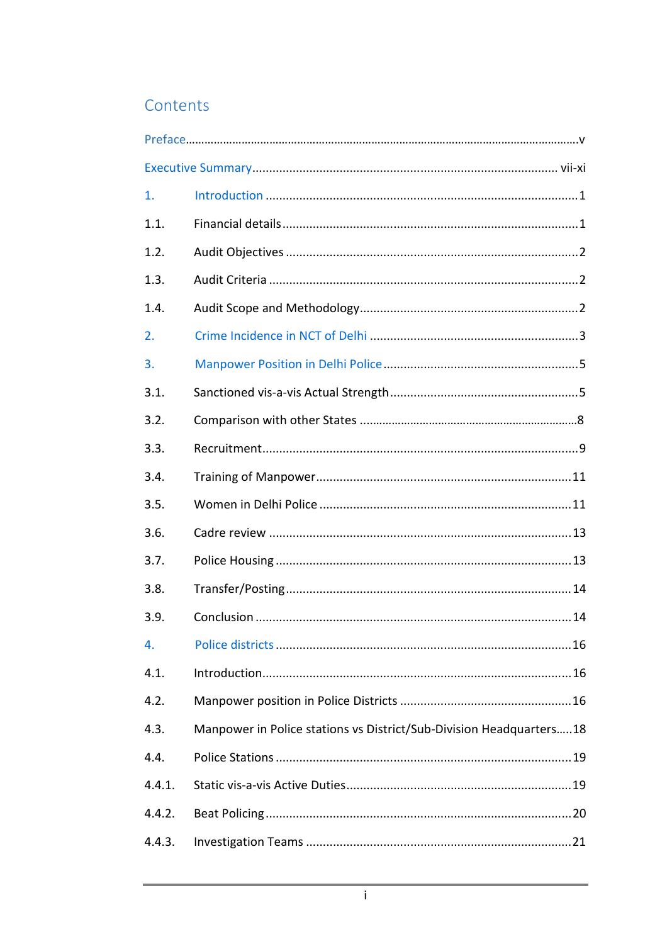## Contents

| 1.     |                                                                     |  |
|--------|---------------------------------------------------------------------|--|
| 1.1.   |                                                                     |  |
| 1.2.   |                                                                     |  |
| 1.3.   |                                                                     |  |
| 1.4.   |                                                                     |  |
| 2.     |                                                                     |  |
| 3.     |                                                                     |  |
| 3.1.   |                                                                     |  |
| 3.2.   |                                                                     |  |
| 3.3.   |                                                                     |  |
| 3.4.   |                                                                     |  |
| 3.5.   |                                                                     |  |
| 3.6.   |                                                                     |  |
| 3.7.   |                                                                     |  |
| 3.8.   |                                                                     |  |
| 3.9.   |                                                                     |  |
| 4.     |                                                                     |  |
| 4.1.   |                                                                     |  |
| 4.2.   |                                                                     |  |
| 4.3.   | Manpower in Police stations vs District/Sub-Division Headquarters18 |  |
| 4.4.   |                                                                     |  |
| 4.4.1. |                                                                     |  |
| 4.4.2. |                                                                     |  |
| 4.4.3. |                                                                     |  |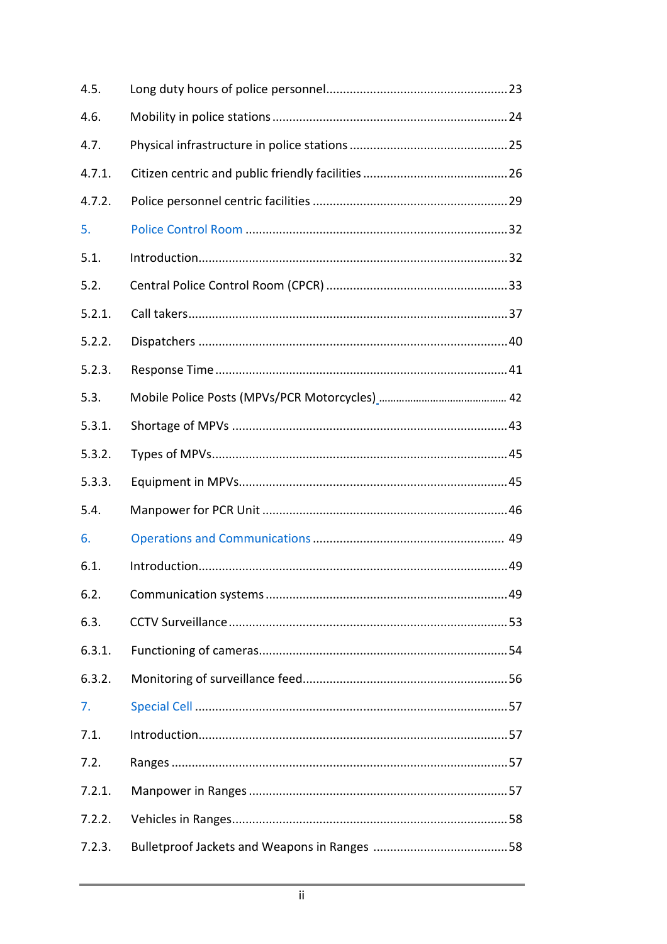| 4.5.   |  |
|--------|--|
| 4.6.   |  |
| 4.7.   |  |
| 4.7.1. |  |
| 4.7.2. |  |
| 5.     |  |
| 5.1.   |  |
| 5.2.   |  |
| 5.2.1. |  |
| 5.2.2. |  |
| 5.2.3. |  |
| 5.3.   |  |
| 5.3.1. |  |
| 5.3.2. |  |
|        |  |
| 5.3.3. |  |
| 5.4.   |  |
| 6.     |  |
| 6.1.   |  |
| 6.2.   |  |
| 6.3.   |  |
| 6.3.1. |  |
| 6.3.2. |  |
| 7.     |  |
| 7.1.   |  |
| 7.2.   |  |
| 7.2.1. |  |
| 7.2.2. |  |